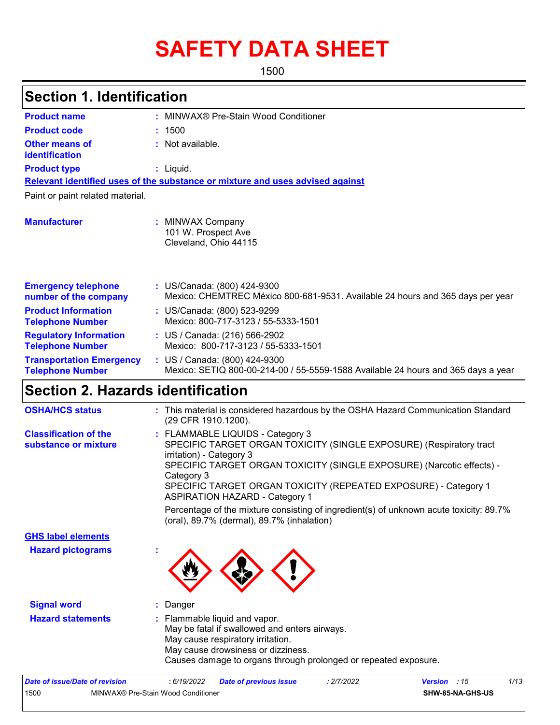# **SAFETY DATA SHEET**

1500

# **Section 1. Identification**

| <b>Product name</b>                                        | MINWAX® Pre-Stain Wood Conditioner                                                                                 |
|------------------------------------------------------------|--------------------------------------------------------------------------------------------------------------------|
| <b>Product code</b>                                        | : 1500                                                                                                             |
| Other means of<br><b>identification</b>                    | $:$ Not available.                                                                                                 |
| <b>Product type</b>                                        | $:$ Liquid.                                                                                                        |
|                                                            | Relevant identified uses of the substance or mixture and uses advised against                                      |
| Paint or paint related material.                           |                                                                                                                    |
| <b>Manufacturer</b>                                        | <b>MINWAX Company</b><br>101 W. Prospect Ave<br>Cleveland, Ohio 44115                                              |
| <b>Emergency telephone</b><br>number of the company        | : US/Canada: (800) 424-9300<br>Mexico: CHEMTREC México 800-681-9531. Available 24 hours and 365 days per year      |
| <b>Product Information</b><br><b>Telephone Number</b>      | : US/Canada: (800) 523-9299<br>Mexico: 800-717-3123 / 55-5333-1501                                                 |
| <b>Regulatory Information</b><br><b>Telephone Number</b>   | : US / Canada: (216) 566-2902<br>Mexico: 800-717-3123 / 55-5333-1501                                               |
| <b>Transportation Emergency</b><br><b>Telephone Number</b> | : US / Canada: (800) 424-9300<br>Mexico: SETIQ 800-00-214-00 / 55-5559-1588 Available 24 hours and 365 days a year |

# **Section 2. Hazards identification**

| <b>OSHA/HCS status</b>                               | : This material is considered hazardous by the OSHA Hazard Communication Standard<br>(29 CFR 1910.1200).                                                                                                                                                                                                                               |
|------------------------------------------------------|----------------------------------------------------------------------------------------------------------------------------------------------------------------------------------------------------------------------------------------------------------------------------------------------------------------------------------------|
| <b>Classification of the</b><br>substance or mixture | : FLAMMABLE LIQUIDS - Category 3<br>SPECIFIC TARGET ORGAN TOXICITY (SINGLE EXPOSURE) (Respiratory tract<br>irritation) - Category 3<br>SPECIFIC TARGET ORGAN TOXICITY (SINGLE EXPOSURE) (Narcotic effects) -<br>Category 3<br>SPECIFIC TARGET ORGAN TOXICITY (REPEATED EXPOSURE) - Category 1<br><b>ASPIRATION HAZARD - Category 1</b> |
|                                                      | Percentage of the mixture consisting of ingredient(s) of unknown acute toxicity: 89.7%<br>(oral), 89.7% (dermal), 89.7% (inhalation)                                                                                                                                                                                                   |
| <b>GHS label elements</b>                            |                                                                                                                                                                                                                                                                                                                                        |
| <b>Hazard pictograms</b>                             |                                                                                                                                                                                                                                                                                                                                        |
| <b>Signal word</b>                                   | : Danger                                                                                                                                                                                                                                                                                                                               |
| <b>Hazard statements</b>                             | : Flammable liquid and vapor.<br>May be fatal if swallowed and enters airways.<br>May cause respiratory irritation.<br>May cause drowsiness or dizziness.<br>Causes damage to organs through prolonged or repeated exposure.                                                                                                           |
|                                                      |                                                                                                                                                                                                                                                                                                                                        |

| Date of issue/Date of revision             |  | . 6/19/2022 | <b>Date of previous issue</b> | 2/7/2022 | <b>Version</b> : 15 |                  | 1/13 |
|--------------------------------------------|--|-------------|-------------------------------|----------|---------------------|------------------|------|
| 1500<br>MINWAX® Pre-Stain Wood Conditioner |  |             |                               |          |                     | SHW-85-NA-GHS-US |      |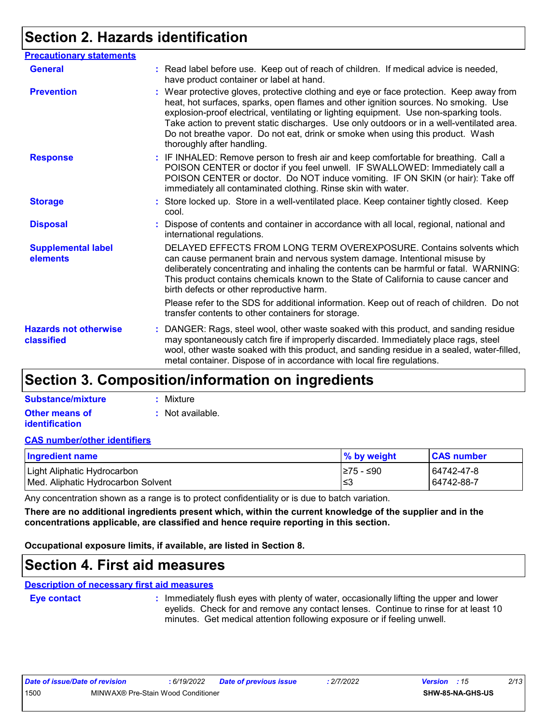# **Section 2. Hazards identification**

| <b>Precautionary statements</b>            |                                                                                                                                                                                                                                                                                                                                                                                                                                                                                        |  |
|--------------------------------------------|----------------------------------------------------------------------------------------------------------------------------------------------------------------------------------------------------------------------------------------------------------------------------------------------------------------------------------------------------------------------------------------------------------------------------------------------------------------------------------------|--|
| <b>General</b>                             | : Read label before use. Keep out of reach of children. If medical advice is needed,<br>have product container or label at hand.                                                                                                                                                                                                                                                                                                                                                       |  |
| <b>Prevention</b>                          | : Wear protective gloves, protective clothing and eye or face protection. Keep away from<br>heat, hot surfaces, sparks, open flames and other ignition sources. No smoking. Use<br>explosion-proof electrical, ventilating or lighting equipment. Use non-sparking tools.<br>Take action to prevent static discharges. Use only outdoors or in a well-ventilated area.<br>Do not breathe vapor. Do not eat, drink or smoke when using this product. Wash<br>thoroughly after handling. |  |
| <b>Response</b>                            | : IF INHALED: Remove person to fresh air and keep comfortable for breathing. Call a<br>POISON CENTER or doctor if you feel unwell. IF SWALLOWED: Immediately call a<br>POISON CENTER or doctor. Do NOT induce vomiting. IF ON SKIN (or hair): Take off<br>immediately all contaminated clothing. Rinse skin with water.                                                                                                                                                                |  |
| <b>Storage</b>                             | : Store locked up. Store in a well-ventilated place. Keep container tightly closed. Keep<br>cool.                                                                                                                                                                                                                                                                                                                                                                                      |  |
| <b>Disposal</b>                            | : Dispose of contents and container in accordance with all local, regional, national and<br>international regulations.                                                                                                                                                                                                                                                                                                                                                                 |  |
| <b>Supplemental label</b><br>elements      | DELAYED EFFECTS FROM LONG TERM OVEREXPOSURE. Contains solvents which<br>can cause permanent brain and nervous system damage. Intentional misuse by<br>deliberately concentrating and inhaling the contents can be harmful or fatal. WARNING:<br>This product contains chemicals known to the State of California to cause cancer and<br>birth defects or other reproductive harm.                                                                                                      |  |
|                                            | Please refer to the SDS for additional information. Keep out of reach of children. Do not<br>transfer contents to other containers for storage.                                                                                                                                                                                                                                                                                                                                        |  |
| <b>Hazards not otherwise</b><br>classified | : DANGER: Rags, steel wool, other waste soaked with this product, and sanding residue<br>may spontaneously catch fire if improperly discarded. Immediately place rags, steel<br>wool, other waste soaked with this product, and sanding residue in a sealed, water-filled,<br>metal container. Dispose of in accordance with local fire regulations.                                                                                                                                   |  |

### **Section 3. Composition/information on ingredients**

| Substance/mixture                              | : Mixture        |
|------------------------------------------------|------------------|
| <b>Other means of</b><br><i>identification</i> | : Not available. |

#### **CAS number/other identifiers**

| <b>Ingredient name</b>             | % by weight | <b>CAS number</b> |
|------------------------------------|-------------|-------------------|
| Light Aliphatic Hydrocarbon        | I≥75 - ≤90  | 64742-47-8        |
| Med. Aliphatic Hydrocarbon Solvent | ڏ≥ا         | 64742-88-7        |

Any concentration shown as a range is to protect confidentiality or is due to batch variation.

**There are no additional ingredients present which, within the current knowledge of the supplier and in the concentrations applicable, are classified and hence require reporting in this section.**

**Occupational exposure limits, if available, are listed in Section 8.**

### **Section 4. First aid measures**

**Description of necessary first aid measures**

**Eye contact :**

: Immediately flush eyes with plenty of water, occasionally lifting the upper and lower eyelids. Check for and remove any contact lenses. Continue to rinse for at least 10 minutes. Get medical attention following exposure or if feeling unwell.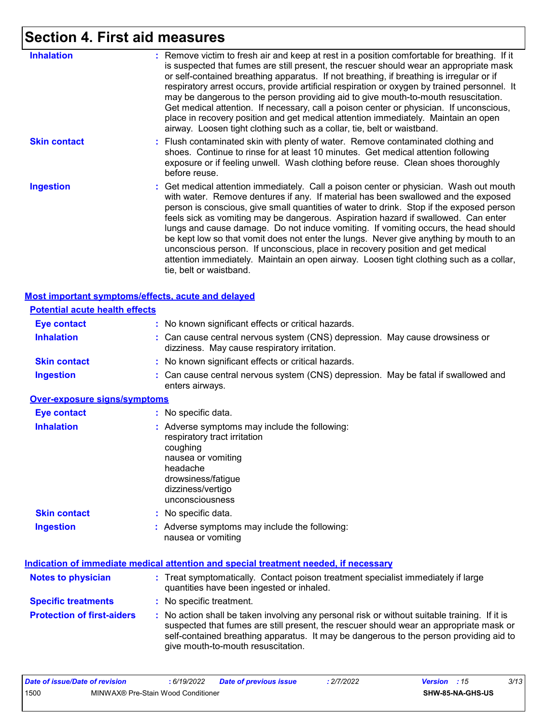# **Section 4. First aid measures**

| <b>Inhalation</b>   | : Remove victim to fresh air and keep at rest in a position comfortable for breathing. If it<br>is suspected that fumes are still present, the rescuer should wear an appropriate mask<br>or self-contained breathing apparatus. If not breathing, if breathing is irregular or if<br>respiratory arrest occurs, provide artificial respiration or oxygen by trained personnel. It<br>may be dangerous to the person providing aid to give mouth-to-mouth resuscitation.<br>Get medical attention. If necessary, call a poison center or physician. If unconscious,<br>place in recovery position and get medical attention immediately. Maintain an open<br>airway. Loosen tight clothing such as a collar, tie, belt or waistband.                    |
|---------------------|---------------------------------------------------------------------------------------------------------------------------------------------------------------------------------------------------------------------------------------------------------------------------------------------------------------------------------------------------------------------------------------------------------------------------------------------------------------------------------------------------------------------------------------------------------------------------------------------------------------------------------------------------------------------------------------------------------------------------------------------------------|
| <b>Skin contact</b> | : Flush contaminated skin with plenty of water. Remove contaminated clothing and<br>shoes. Continue to rinse for at least 10 minutes. Get medical attention following<br>exposure or if feeling unwell. Wash clothing before reuse. Clean shoes thoroughly<br>before reuse.                                                                                                                                                                                                                                                                                                                                                                                                                                                                             |
| <b>Ingestion</b>    | : Get medical attention immediately. Call a poison center or physician. Wash out mouth<br>with water. Remove dentures if any. If material has been swallowed and the exposed<br>person is conscious, give small quantities of water to drink. Stop if the exposed person<br>feels sick as vomiting may be dangerous. Aspiration hazard if swallowed. Can enter<br>lungs and cause damage. Do not induce vomiting. If vomiting occurs, the head should<br>be kept low so that vomit does not enter the lungs. Never give anything by mouth to an<br>unconscious person. If unconscious, place in recovery position and get medical<br>attention immediately. Maintain an open airway. Loosen tight clothing such as a collar,<br>tie, belt or waistband. |

| <b>Most important symptoms/effects, acute and delayed</b> |                                                                                                                                                                                                                                                                                                                         |
|-----------------------------------------------------------|-------------------------------------------------------------------------------------------------------------------------------------------------------------------------------------------------------------------------------------------------------------------------------------------------------------------------|
| <b>Potential acute health effects</b>                     |                                                                                                                                                                                                                                                                                                                         |
| <b>Eye contact</b>                                        | : No known significant effects or critical hazards.                                                                                                                                                                                                                                                                     |
| <b>Inhalation</b>                                         | : Can cause central nervous system (CNS) depression. May cause drowsiness or<br>dizziness. May cause respiratory irritation.                                                                                                                                                                                            |
| <b>Skin contact</b>                                       | : No known significant effects or critical hazards.                                                                                                                                                                                                                                                                     |
| <b>Ingestion</b>                                          | : Can cause central nervous system (CNS) depression. May be fatal if swallowed and<br>enters airways.                                                                                                                                                                                                                   |
| <b>Over-exposure signs/symptoms</b>                       |                                                                                                                                                                                                                                                                                                                         |
| <b>Eye contact</b>                                        | : No specific data.                                                                                                                                                                                                                                                                                                     |
| <b>Inhalation</b>                                         | : Adverse symptoms may include the following:<br>respiratory tract irritation<br>coughing<br>nausea or vomiting<br>headache<br>drowsiness/fatigue<br>dizziness/vertigo<br>unconsciousness                                                                                                                               |
| <b>Skin contact</b>                                       | : No specific data.                                                                                                                                                                                                                                                                                                     |
| <b>Ingestion</b>                                          | : Adverse symptoms may include the following:<br>nausea or vomiting                                                                                                                                                                                                                                                     |
|                                                           | <b>Indication of immediate medical attention and special treatment needed, if necessary</b>                                                                                                                                                                                                                             |
| <b>Notes to physician</b>                                 | : Treat symptomatically. Contact poison treatment specialist immediately if large<br>quantities have been ingested or inhaled.                                                                                                                                                                                          |
| <b>Specific treatments</b>                                | : No specific treatment.                                                                                                                                                                                                                                                                                                |
| <b>Protection of first-aiders</b>                         | : No action shall be taken involving any personal risk or without suitable training. If it is<br>suspected that fumes are still present, the rescuer should wear an appropriate mask or<br>self-contained breathing apparatus. It may be dangerous to the person providing aid to<br>give mouth-to-mouth resuscitation. |

| Date of issue/Date of revision             |  | 6/19/2022 | <b>Date of previous issue</b> | 2/7/2022 | <b>Version</b> : 15     | 3/13 |
|--------------------------------------------|--|-----------|-------------------------------|----------|-------------------------|------|
| 1500<br>MINWAX® Pre-Stain Wood Conditioner |  |           |                               |          | <b>SHW-85-NA-GHS-US</b> |      |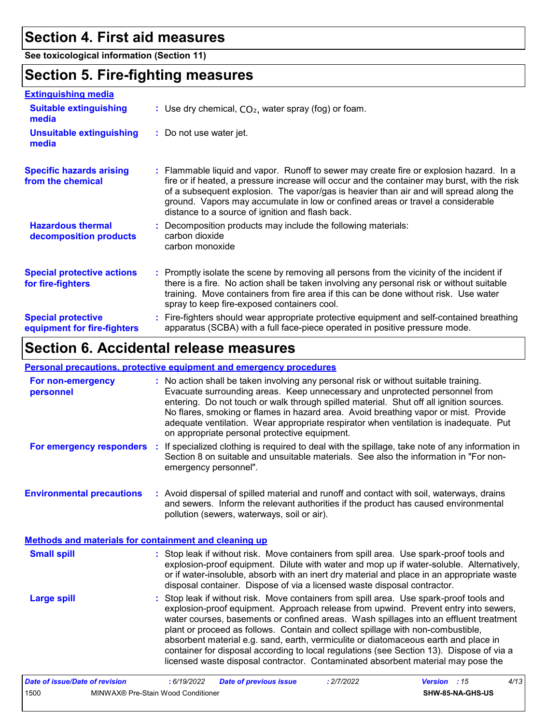### **Section 4. First aid measures**

**See toxicological information (Section 11)**

# **Section 5. Fire-fighting measures**

| <b>Extinguishing media</b>                               |                                                                                                                                                                                                                                                                                                                                                                                                                          |
|----------------------------------------------------------|--------------------------------------------------------------------------------------------------------------------------------------------------------------------------------------------------------------------------------------------------------------------------------------------------------------------------------------------------------------------------------------------------------------------------|
| <b>Suitable extinguishing</b><br>media                   | : Use dry chemical, $CO2$ , water spray (fog) or foam.                                                                                                                                                                                                                                                                                                                                                                   |
| <b>Unsuitable extinguishing</b><br>media                 | : Do not use water jet.                                                                                                                                                                                                                                                                                                                                                                                                  |
| <b>Specific hazards arising</b><br>from the chemical     | : Flammable liquid and vapor. Runoff to sewer may create fire or explosion hazard. In a<br>fire or if heated, a pressure increase will occur and the container may burst, with the risk<br>of a subsequent explosion. The vapor/gas is heavier than air and will spread along the<br>ground. Vapors may accumulate in low or confined areas or travel a considerable<br>distance to a source of ignition and flash back. |
| <b>Hazardous thermal</b><br>decomposition products       | : Decomposition products may include the following materials:<br>carbon dioxide<br>carbon monoxide                                                                                                                                                                                                                                                                                                                       |
| <b>Special protective actions</b><br>for fire-fighters   | : Promptly isolate the scene by removing all persons from the vicinity of the incident if<br>there is a fire. No action shall be taken involving any personal risk or without suitable<br>training. Move containers from fire area if this can be done without risk. Use water<br>spray to keep fire-exposed containers cool.                                                                                            |
| <b>Special protective</b><br>equipment for fire-fighters | : Fire-fighters should wear appropriate protective equipment and self-contained breathing<br>apparatus (SCBA) with a full face-piece operated in positive pressure mode.                                                                                                                                                                                                                                                 |

# **Section 6. Accidental release measures**

#### **Personal precautions, protective equipment and emergency procedures**

| For non-emergency<br>personnel                        | : No action shall be taken involving any personal risk or without suitable training.<br>Evacuate surrounding areas. Keep unnecessary and unprotected personnel from<br>entering. Do not touch or walk through spilled material. Shut off all ignition sources.<br>No flares, smoking or flames in hazard area. Avoid breathing vapor or mist. Provide<br>adequate ventilation. Wear appropriate respirator when ventilation is inadequate. Put<br>on appropriate personal protective equipment.                                                                                                                                   |
|-------------------------------------------------------|-----------------------------------------------------------------------------------------------------------------------------------------------------------------------------------------------------------------------------------------------------------------------------------------------------------------------------------------------------------------------------------------------------------------------------------------------------------------------------------------------------------------------------------------------------------------------------------------------------------------------------------|
| For emergency responders :                            | If specialized clothing is required to deal with the spillage, take note of any information in<br>Section 8 on suitable and unsuitable materials. See also the information in "For non-<br>emergency personnel".                                                                                                                                                                                                                                                                                                                                                                                                                  |
| <b>Environmental precautions</b>                      | : Avoid dispersal of spilled material and runoff and contact with soil, waterways, drains<br>and sewers. Inform the relevant authorities if the product has caused environmental<br>pollution (sewers, waterways, soil or air).                                                                                                                                                                                                                                                                                                                                                                                                   |
| Methods and materials for containment and cleaning up |                                                                                                                                                                                                                                                                                                                                                                                                                                                                                                                                                                                                                                   |
| <b>Small spill</b>                                    | : Stop leak if without risk. Move containers from spill area. Use spark-proof tools and<br>explosion-proof equipment. Dilute with water and mop up if water-soluble. Alternatively,<br>or if water-insoluble, absorb with an inert dry material and place in an appropriate waste<br>disposal container. Dispose of via a licensed waste disposal contractor.                                                                                                                                                                                                                                                                     |
| <b>Large spill</b>                                    | : Stop leak if without risk. Move containers from spill area. Use spark-proof tools and<br>explosion-proof equipment. Approach release from upwind. Prevent entry into sewers,<br>water courses, basements or confined areas. Wash spillages into an effluent treatment<br>plant or proceed as follows. Contain and collect spillage with non-combustible,<br>absorbent material e.g. sand, earth, vermiculite or diatomaceous earth and place in<br>container for disposal according to local regulations (see Section 13). Dispose of via a<br>licensed waste disposal contractor. Contaminated absorbent material may pose the |
| Data of inqualData of ravioian                        | A/42<br>.2770022<br>.6/10/2022<br>Dota of province inque<br>$Uarian + 45$                                                                                                                                                                                                                                                                                                                                                                                                                                                                                                                                                         |

| Date of issue/Date of revision |                                    | : 6/19/2022 | Date of previous issue | : 2/7/2022 | <b>Version</b> : 15     | 4/13 |  |
|--------------------------------|------------------------------------|-------------|------------------------|------------|-------------------------|------|--|
| 1500                           | MINWAX® Pre-Stain Wood Conditioner |             |                        |            | <b>SHW-85-NA-GHS-US</b> |      |  |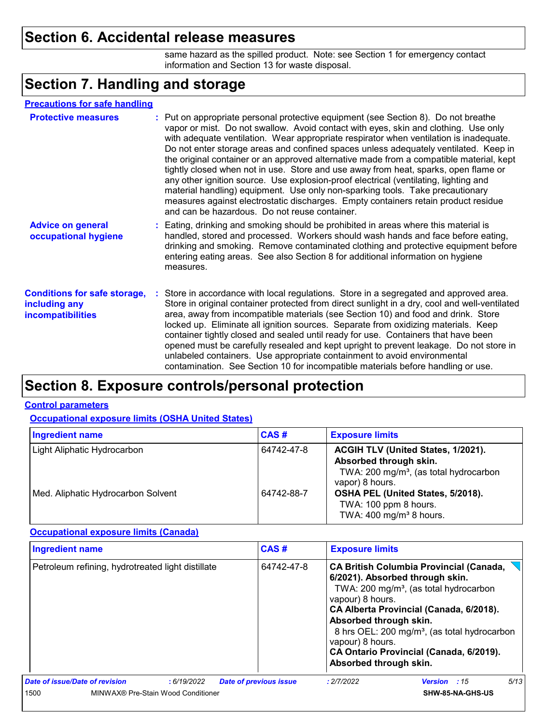### **Section 6. Accidental release measures**

same hazard as the spilled product. Note: see Section 1 for emergency contact information and Section 13 for waste disposal.

### **Section 7. Handling and storage**

#### **Precautions for safe handling**

| <b>Protective measures</b>                                                       | : Put on appropriate personal protective equipment (see Section 8). Do not breathe<br>vapor or mist. Do not swallow. Avoid contact with eyes, skin and clothing. Use only<br>with adequate ventilation. Wear appropriate respirator when ventilation is inadequate.<br>Do not enter storage areas and confined spaces unless adequately ventilated. Keep in<br>the original container or an approved alternative made from a compatible material, kept<br>tightly closed when not in use. Store and use away from heat, sparks, open flame or<br>any other ignition source. Use explosion-proof electrical (ventilating, lighting and<br>material handling) equipment. Use only non-sparking tools. Take precautionary<br>measures against electrostatic discharges. Empty containers retain product residue<br>and can be hazardous. Do not reuse container. |
|----------------------------------------------------------------------------------|---------------------------------------------------------------------------------------------------------------------------------------------------------------------------------------------------------------------------------------------------------------------------------------------------------------------------------------------------------------------------------------------------------------------------------------------------------------------------------------------------------------------------------------------------------------------------------------------------------------------------------------------------------------------------------------------------------------------------------------------------------------------------------------------------------------------------------------------------------------|
| <b>Advice on general</b><br>occupational hygiene                                 | : Eating, drinking and smoking should be prohibited in areas where this material is<br>handled, stored and processed. Workers should wash hands and face before eating,<br>drinking and smoking. Remove contaminated clothing and protective equipment before<br>entering eating areas. See also Section 8 for additional information on hygiene<br>measures.                                                                                                                                                                                                                                                                                                                                                                                                                                                                                                 |
| <b>Conditions for safe storage,</b><br>including any<br><b>incompatibilities</b> | : Store in accordance with local regulations. Store in a segregated and approved area.<br>Store in original container protected from direct sunlight in a dry, cool and well-ventilated<br>area, away from incompatible materials (see Section 10) and food and drink. Store<br>locked up. Eliminate all ignition sources. Separate from oxidizing materials. Keep<br>container tightly closed and sealed until ready for use. Containers that have been<br>opened must be carefully resealed and kept upright to prevent leakage. Do not store in<br>unlabeled containers. Use appropriate containment to avoid environmental<br>contamination. See Section 10 for incompatible materials before handling or use.                                                                                                                                            |

# **Section 8. Exposure controls/personal protection**

#### **Control parameters**

**Occupational exposure limits (OSHA United States)**

| <b>Ingredient name</b>             | <b>CAS#</b> | <b>Exposure limits</b>                                                                                                                |
|------------------------------------|-------------|---------------------------------------------------------------------------------------------------------------------------------------|
| Light Aliphatic Hydrocarbon        | 64742-47-8  | ACGIH TLV (United States, 1/2021).<br>Absorbed through skin.<br>TWA: 200 mg/m <sup>3</sup> , (as total hydrocarbon<br>vapor) 8 hours. |
| Med. Aliphatic Hydrocarbon Solvent | 64742-88-7  | OSHA PEL (United States, 5/2018).<br>TWA: 100 ppm 8 hours.<br>TWA: $400 \text{ mg/m}^3$ 8 hours.                                      |

#### **Occupational exposure limits (Canada)**

| Ingredient name                                   | CAS#                          | <b>Exposure limits</b>                                                                                                                                                                                                                                                                                                                                                                |
|---------------------------------------------------|-------------------------------|---------------------------------------------------------------------------------------------------------------------------------------------------------------------------------------------------------------------------------------------------------------------------------------------------------------------------------------------------------------------------------------|
| Petroleum refining, hydrotreated light distillate | 64742-47-8                    | <b>CA British Columbia Provincial (Canada,</b><br>6/2021). Absorbed through skin.<br>TWA: 200 mg/m <sup>3</sup> , (as total hydrocarbon<br>vapour) 8 hours.<br>CA Alberta Provincial (Canada, 6/2018).<br>Absorbed through skin.<br>8 hrs OEL: 200 mg/m <sup>3</sup> , (as total hydrocarbon<br>vapour) 8 hours.<br>CA Ontario Provincial (Canada, 6/2019).<br>Absorbed through skin. |
| Date of issue/Date of revision<br>:6/19/2022      | <b>Date of previous issue</b> | 5/13<br>: 2/7/2022<br><b>Version</b> : 15                                                                                                                                                                                                                                                                                                                                             |
| 1500<br>MINWAX® Pre-Stain Wood Conditioner        |                               | <b>SHW-85-NA-GHS-US</b>                                                                                                                                                                                                                                                                                                                                                               |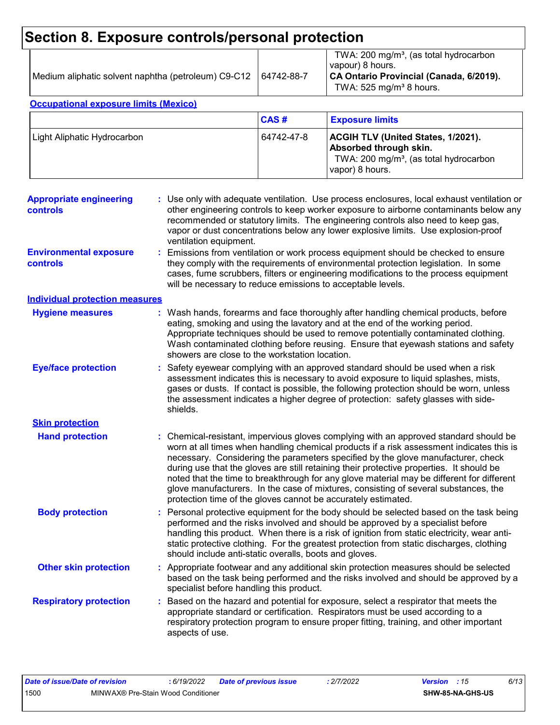# **Section 8. Exposure controls/personal protection**

| Medium aliphatic solvent naphtha (petroleum) C9-C12   64742-88-7 | TWA: 200 mg/m <sup>3</sup> , (as total hydrocarbon<br>vapour) 8 hours.<br>CA Ontario Provincial (Canada, 6/2019).<br>TWA: $525 \text{ mg/m}^3$ 8 hours. |
|------------------------------------------------------------------|---------------------------------------------------------------------------------------------------------------------------------------------------------|
|                                                                  |                                                                                                                                                         |

#### **Occupational exposure limits (Mexico)**

|                             | CAS#       | <b>Exposure limits</b>                                                                                                                |
|-----------------------------|------------|---------------------------------------------------------------------------------------------------------------------------------------|
| Light Aliphatic Hydrocarbon | 64742-47-8 | ACGIH TLV (United States, 1/2021).<br>Absorbed through skin.<br>TWA: 200 mg/m <sup>3</sup> , (as total hydrocarbon<br>vapor) 8 hours. |

| <b>Appropriate engineering</b><br><b>controls</b> |    | : Use only with adequate ventilation. Use process enclosures, local exhaust ventilation or<br>other engineering controls to keep worker exposure to airborne contaminants below any<br>recommended or statutory limits. The engineering controls also need to keep gas,<br>vapor or dust concentrations below any lower explosive limits. Use explosion-proof<br>ventilation equipment.                                                                                                                                                                                                                                |
|---------------------------------------------------|----|------------------------------------------------------------------------------------------------------------------------------------------------------------------------------------------------------------------------------------------------------------------------------------------------------------------------------------------------------------------------------------------------------------------------------------------------------------------------------------------------------------------------------------------------------------------------------------------------------------------------|
| <b>Environmental exposure</b><br><b>controls</b>  |    | Emissions from ventilation or work process equipment should be checked to ensure<br>they comply with the requirements of environmental protection legislation. In some<br>cases, fume scrubbers, filters or engineering modifications to the process equipment<br>will be necessary to reduce emissions to acceptable levels.                                                                                                                                                                                                                                                                                          |
| <b>Individual protection measures</b>             |    |                                                                                                                                                                                                                                                                                                                                                                                                                                                                                                                                                                                                                        |
| <b>Hygiene measures</b>                           |    | : Wash hands, forearms and face thoroughly after handling chemical products, before<br>eating, smoking and using the lavatory and at the end of the working period.<br>Appropriate techniques should be used to remove potentially contaminated clothing.<br>Wash contaminated clothing before reusing. Ensure that eyewash stations and safety<br>showers are close to the workstation location.                                                                                                                                                                                                                      |
| <b>Eye/face protection</b>                        |    | Safety eyewear complying with an approved standard should be used when a risk<br>assessment indicates this is necessary to avoid exposure to liquid splashes, mists,<br>gases or dusts. If contact is possible, the following protection should be worn, unless<br>the assessment indicates a higher degree of protection: safety glasses with side-<br>shields.                                                                                                                                                                                                                                                       |
| <b>Skin protection</b>                            |    |                                                                                                                                                                                                                                                                                                                                                                                                                                                                                                                                                                                                                        |
| <b>Hand protection</b>                            |    | : Chemical-resistant, impervious gloves complying with an approved standard should be<br>worn at all times when handling chemical products if a risk assessment indicates this is<br>necessary. Considering the parameters specified by the glove manufacturer, check<br>during use that the gloves are still retaining their protective properties. It should be<br>noted that the time to breakthrough for any glove material may be different for different<br>glove manufacturers. In the case of mixtures, consisting of several substances, the<br>protection time of the gloves cannot be accurately estimated. |
| <b>Body protection</b>                            |    | Personal protective equipment for the body should be selected based on the task being<br>performed and the risks involved and should be approved by a specialist before<br>handling this product. When there is a risk of ignition from static electricity, wear anti-<br>static protective clothing. For the greatest protection from static discharges, clothing<br>should include anti-static overalls, boots and gloves.                                                                                                                                                                                           |
| <b>Other skin protection</b>                      |    | : Appropriate footwear and any additional skin protection measures should be selected<br>based on the task being performed and the risks involved and should be approved by a<br>specialist before handling this product.                                                                                                                                                                                                                                                                                                                                                                                              |
| <b>Respiratory protection</b>                     | ÷. | Based on the hazard and potential for exposure, select a respirator that meets the<br>appropriate standard or certification. Respirators must be used according to a<br>respiratory protection program to ensure proper fitting, training, and other important<br>aspects of use.                                                                                                                                                                                                                                                                                                                                      |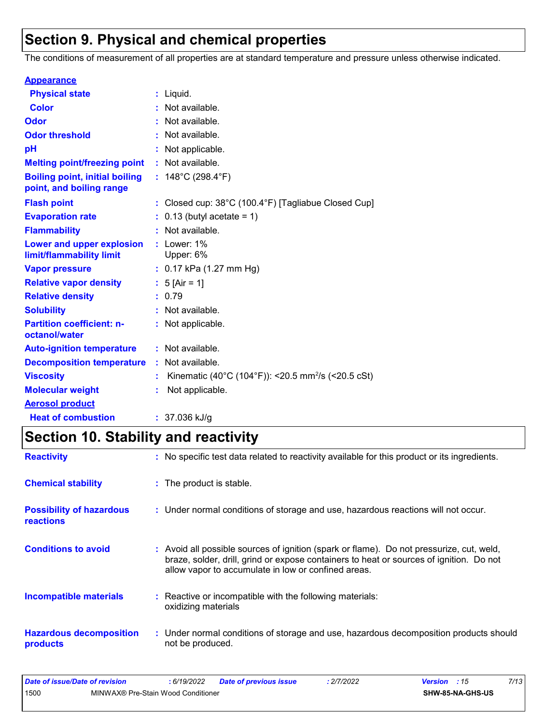# **Section 9. Physical and chemical properties**

The conditions of measurement of all properties are at standard temperature and pressure unless otherwise indicated.

| <b>Appearance</b>                                                 |                                                                |
|-------------------------------------------------------------------|----------------------------------------------------------------|
| <b>Physical state</b>                                             | : Liquid.                                                      |
| <b>Color</b>                                                      | : Not available.                                               |
| <b>Odor</b>                                                       | : Not available.                                               |
| <b>Odor threshold</b>                                             | : Not available.                                               |
| рH                                                                | : Not applicable.                                              |
| <b>Melting point/freezing point</b>                               | : Not available.                                               |
| <b>Boiling point, initial boiling</b><br>point, and boiling range | : $148^{\circ}$ C (298.4 $^{\circ}$ F)                         |
| <b>Flash point</b>                                                | : Closed cup: 38°C (100.4°F) [Tagliabue Closed Cup]            |
| <b>Evaporation rate</b>                                           | $0.13$ (butyl acetate = 1)                                     |
| <b>Flammability</b>                                               | : Not available.                                               |
| Lower and upper explosion<br>limit/flammability limit             | : Lower: $1\%$<br>Upper: 6%                                    |
| <b>Vapor pressure</b>                                             | : $0.17$ kPa (1.27 mm Hg)                                      |
| <b>Relative vapor density</b>                                     | : $5$ [Air = 1]                                                |
| <b>Relative density</b>                                           | : 0.79                                                         |
| <b>Solubility</b>                                                 | : Not available.                                               |
| <b>Partition coefficient: n-</b><br>octanol/water                 | : Not applicable.                                              |
| <b>Auto-ignition temperature</b>                                  | : Not available.                                               |
| <b>Decomposition temperature</b>                                  | : Not available.                                               |
| <b>Viscosity</b>                                                  | Kinematic (40°C (104°F)): <20.5 mm <sup>2</sup> /s (<20.5 cSt) |
| <b>Molecular weight</b>                                           | Not applicable.                                                |
| <b>Aerosol product</b>                                            |                                                                |
| <b>Heat of combustion</b>                                         | $: 37.036$ kJ/g                                                |

# **Section 10. Stability and reactivity**

| <b>Reactivity</b>                                   | : No specific test data related to reactivity available for this product or its ingredients.                                                                                                                                             |
|-----------------------------------------------------|------------------------------------------------------------------------------------------------------------------------------------------------------------------------------------------------------------------------------------------|
| <b>Chemical stability</b>                           | : The product is stable.                                                                                                                                                                                                                 |
| <b>Possibility of hazardous</b><br><b>reactions</b> | : Under normal conditions of storage and use, hazardous reactions will not occur.                                                                                                                                                        |
| <b>Conditions to avoid</b>                          | Avoid all possible sources of ignition (spark or flame). Do not pressurize, cut, weld,<br>braze, solder, drill, grind or expose containers to heat or sources of ignition. Do not<br>allow vapor to accumulate in low or confined areas. |
| <b>Incompatible materials</b>                       | Reactive or incompatible with the following materials:<br>oxidizing materials                                                                                                                                                            |
| <b>Hazardous decomposition</b><br>products          | : Under normal conditions of storage and use, hazardous decomposition products should<br>not be produced.                                                                                                                                |

| Date of issue/Date of revision |                                    | 6/19/2022 | <b>Date of previous issue</b> | : 2/7/2022 | <b>Version</b> : 15 |                         | 7/13 |
|--------------------------------|------------------------------------|-----------|-------------------------------|------------|---------------------|-------------------------|------|
| 1500                           | MINWAX® Pre-Stain Wood Conditioner |           |                               |            |                     | <b>SHW-85-NA-GHS-US</b> |      |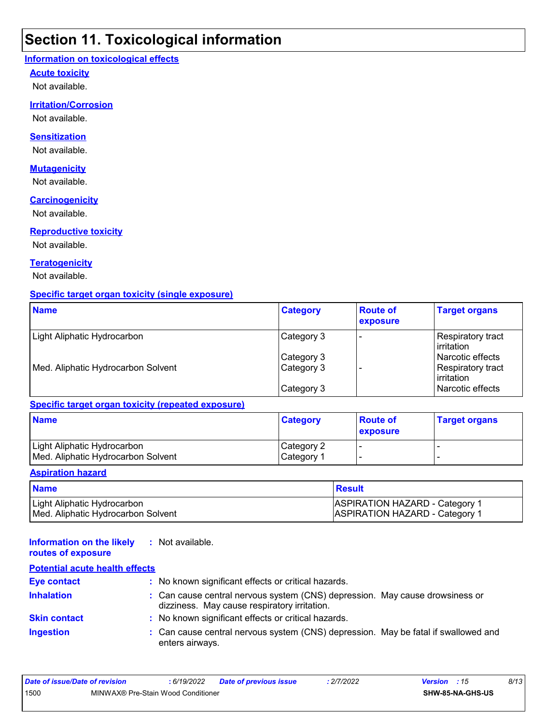### **Section 11. Toxicological information**

#### **Information on toxicological effects**

#### **Acute toxicity**

Not available.

#### **Irritation/Corrosion**

Not available.

#### **Sensitization**

Not available.

#### **Mutagenicity**

Not available.

#### **Carcinogenicity**

Not available.

#### **Reproductive toxicity**

Not available.

#### **Teratogenicity**

Not available.

#### **Specific target organ toxicity (single exposure)**

| <b>Name</b>                        | <b>Category</b> | <b>Route of</b><br>exposure | <b>Target organs</b>                      |
|------------------------------------|-----------------|-----------------------------|-------------------------------------------|
| Light Aliphatic Hydrocarbon        | Category 3      |                             | <b>Respiratory tract</b><br>l irritation. |
|                                    | Category 3      |                             | Narcotic effects                          |
| Med. Aliphatic Hydrocarbon Solvent | Category 3      |                             | Respiratory tract<br><b>lirritation</b>   |
|                                    | Category 3      |                             | Narcotic effects                          |

#### **Specific target organ toxicity (repeated exposure)**

| <b>Name</b>                                                       | <b>Category</b>          | <b>Route of</b><br>exposure | <b>Target organs</b> |
|-------------------------------------------------------------------|--------------------------|-----------------------------|----------------------|
| Light Aliphatic Hydrocarbon<br>Med. Aliphatic Hydrocarbon Solvent | Category 2<br>Category 1 |                             |                      |

#### **Aspiration hazard**

| <b>Name</b>                        | Result                                |
|------------------------------------|---------------------------------------|
| Light Aliphatic Hydrocarbon        | <b>ASPIRATION HAZARD - Category 1</b> |
| Med. Aliphatic Hydrocarbon Solvent | <b>ASPIRATION HAZARD - Category 1</b> |

#### **Information on the likely routes of exposure :** Not available.

#### **Inhalation <b>inclust**: Can cause central nervous system (CNS) depression. May cause drowsiness or dizziness. May cause respiratory irritation. Can cause central nervous system (CNS) depression. May be fatal if swallowed and enters airways. **Ingestion : Skin contact :** No known significant effects or critical hazards. **Eye contact :** No known significant effects or critical hazards. **Potential acute health effects**

| Date of issue/Date of revision |                                    | : 6/19/2022 | <b>Date of previous issue</b> | : 2/7/2022              | <b>Version</b> : 15 |  | 8/13 |
|--------------------------------|------------------------------------|-------------|-------------------------------|-------------------------|---------------------|--|------|
| 1500                           | MINWAX® Pre-Stain Wood Conditioner |             |                               | <b>SHW-85-NA-GHS-US</b> |                     |  |      |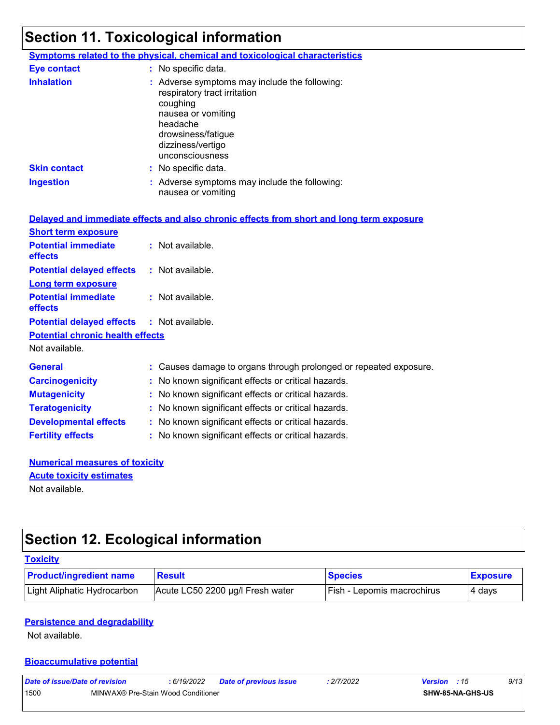# **Section 11. Toxicological information**

|                     | <b>Symptoms related to the physical, chemical and toxicological characteristics</b>                                                                                                       |
|---------------------|-------------------------------------------------------------------------------------------------------------------------------------------------------------------------------------------|
| <b>Eye contact</b>  | : No specific data.                                                                                                                                                                       |
| <b>Inhalation</b>   | : Adverse symptoms may include the following:<br>respiratory tract irritation<br>coughing<br>nausea or vomiting<br>headache<br>drowsiness/fatigue<br>dizziness/vertigo<br>unconsciousness |
| <b>Skin contact</b> | $\therefore$ No specific data.                                                                                                                                                            |
| <b>Ingestion</b>    | : Adverse symptoms may include the following:<br>nausea or vomiting                                                                                                                       |

|                                                   |    | Delayed and immediate effects and also chronic effects from short and long term exposure |
|---------------------------------------------------|----|------------------------------------------------------------------------------------------|
| <b>Short term exposure</b>                        |    |                                                                                          |
| <b>Potential immediate</b><br><b>effects</b>      |    | $:$ Not available.                                                                       |
| <b>Potential delayed effects</b>                  |    | : Not available.                                                                         |
| <b>Long term exposure</b>                         |    |                                                                                          |
| <b>Potential immediate</b><br><b>effects</b>      |    | : Not available.                                                                         |
| <b>Potential delayed effects : Not available.</b> |    |                                                                                          |
| <b>Potential chronic health effects</b>           |    |                                                                                          |
| Not available.                                    |    |                                                                                          |
| <b>General</b>                                    |    | : Causes damage to organs through prolonged or repeated exposure.                        |
| <b>Carcinogenicity</b>                            |    | : No known significant effects or critical hazards.                                      |
| <b>Mutagenicity</b>                               |    | : No known significant effects or critical hazards.                                      |
| <b>Teratogenicity</b>                             |    | : No known significant effects or critical hazards.                                      |
| <b>Developmental effects</b>                      |    | : No known significant effects or critical hazards.                                      |
| <b>Fertility effects</b>                          | ř. | No known significant effects or critical hazards.                                        |

#### **Numerical measures of toxicity** Not available. **Acute toxicity estimates**

# **Section 12. Ecological information**

| <b>Toxicity</b>                |                                  |                            |                 |
|--------------------------------|----------------------------------|----------------------------|-----------------|
| <b>Product/ingredient name</b> | <b>Result</b>                    | <b>Species</b>             | <b>Exposure</b> |
| Light Aliphatic Hydrocarbon    | Acute LC50 2200 µg/l Fresh water | Fish - Lepomis macrochirus | 4 days          |

#### **Persistence and degradability**

Not available.

#### **Bioaccumulative potential**

| Date of issue/Date of revision             |  | : 6/19/2022 | <b>Date of previous issue</b> | : 2/7/2022 | <b>Version</b> : 15 |                         | 9/13 |
|--------------------------------------------|--|-------------|-------------------------------|------------|---------------------|-------------------------|------|
| 1500<br>MINWAX® Pre-Stain Wood Conditioner |  |             |                               |            |                     | <b>SHW-85-NA-GHS-US</b> |      |
|                                            |  |             |                               |            |                     |                         |      |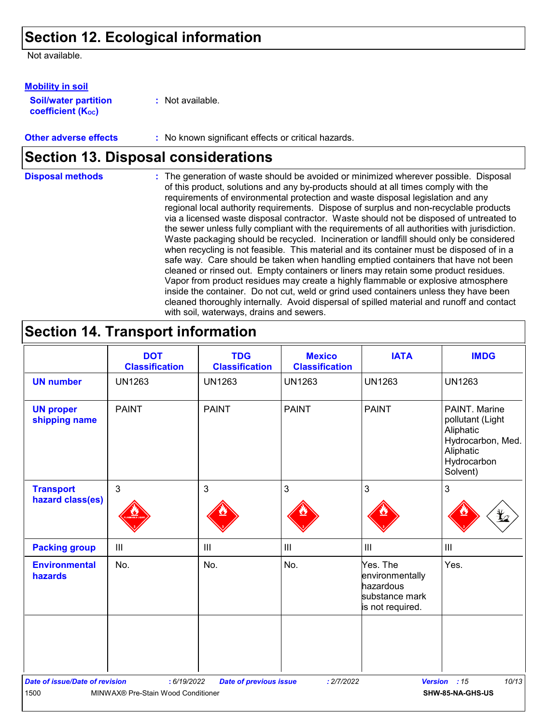### **Section 12. Ecological information**

Not available.

**Soil/water partition coefficient (K**<sup>oc</sup>) **Mobility in soil**

**:** Not available.

**Other adverse effects** : No known significant effects or critical hazards.

## **Section 13. Disposal considerations**

The generation of waste should be avoided or minimized wherever possible. Disposal of this product, solutions and any by-products should at all times comply with the requirements of environmental protection and waste disposal legislation and any regional local authority requirements. Dispose of surplus and non-recyclable products via a licensed waste disposal contractor. Waste should not be disposed of untreated to the sewer unless fully compliant with the requirements of all authorities with jurisdiction. Waste packaging should be recycled. Incineration or landfill should only be considered when recycling is not feasible. This material and its container must be disposed of in a safe way. Care should be taken when handling emptied containers that have not been cleaned or rinsed out. Empty containers or liners may retain some product residues. Vapor from product residues may create a highly flammable or explosive atmosphere inside the container. Do not cut, weld or grind used containers unless they have been cleaned thoroughly internally. Avoid dispersal of spilled material and runoff and contact with soil, waterways, drains and sewers. **Disposal methods :**

## **Section 14. Transport information**

|                                       | <b>DOT</b><br><b>Classification</b> | <b>TDG</b><br><b>Classification</b> | <b>Mexico</b><br><b>Classification</b> | <b>IATA</b>                                                                    | <b>IMDG</b>                                                                                                 |
|---------------------------------------|-------------------------------------|-------------------------------------|----------------------------------------|--------------------------------------------------------------------------------|-------------------------------------------------------------------------------------------------------------|
| <b>UN number</b>                      | <b>UN1263</b>                       | <b>UN1263</b>                       | <b>UN1263</b>                          | <b>UN1263</b>                                                                  | <b>UN1263</b>                                                                                               |
| <b>UN proper</b><br>shipping name     | <b>PAINT</b>                        | <b>PAINT</b>                        | <b>PAINT</b>                           | <b>PAINT</b>                                                                   | PAINT. Marine<br>pollutant (Light<br>Aliphatic<br>Hydrocarbon, Med.<br>Aliphatic<br>Hydrocarbon<br>Solvent) |
| <b>Transport</b><br>hazard class(es)  | $\mathbf{3}$                        | 3                                   | $\mathfrak{S}$                         | 3                                                                              | 3<br>L                                                                                                      |
| <b>Packing group</b>                  | III                                 | $\mathbf{III}$                      | $\mathbf{III}$                         | $\mathbf{III}$                                                                 | $\mathbf{III}$                                                                                              |
| <b>Environmental</b><br>hazards       | No.                                 | No.                                 | No.                                    | Yes. The<br>environmentally<br>hazardous<br>substance mark<br>is not required. | Yes.                                                                                                        |
|                                       |                                     |                                     |                                        |                                                                                |                                                                                                             |
| <b>Date of issue/Date of revision</b> | : 6/19/2022                         | <b>Date of previous issue</b>       | : 2/7/2022                             |                                                                                | 10/13<br>Version : 15                                                                                       |
| 1500                                  | MINWAX® Pre-Stain Wood Conditioner  |                                     |                                        |                                                                                | SHW-85-NA-GHS-US                                                                                            |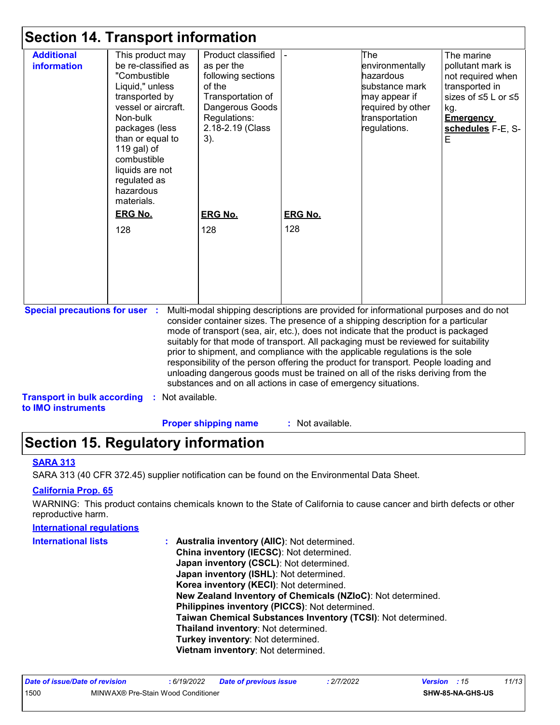|                                                          | <b>Section 14. Transport information</b>                                                                                                                                                                                                                          |                                                                                                                                                                                                                                                                                                                                                                                                                                                                                                                                                                                                                                                                                     |                       |                                                                                                                               |                                                                                                                                                    |  |
|----------------------------------------------------------|-------------------------------------------------------------------------------------------------------------------------------------------------------------------------------------------------------------------------------------------------------------------|-------------------------------------------------------------------------------------------------------------------------------------------------------------------------------------------------------------------------------------------------------------------------------------------------------------------------------------------------------------------------------------------------------------------------------------------------------------------------------------------------------------------------------------------------------------------------------------------------------------------------------------------------------------------------------------|-----------------------|-------------------------------------------------------------------------------------------------------------------------------|----------------------------------------------------------------------------------------------------------------------------------------------------|--|
| <b>Additional</b><br>information                         | This product may<br>be re-classified as<br>"Combustible<br>Liquid," unless<br>transported by<br>vessel or aircraft.<br>Non-bulk<br>packages (less<br>than or equal to<br>119 gal) of<br>combustible<br>liquids are not<br>regulated as<br>hazardous<br>materials. | Product classified<br>as per the<br>following sections<br>of the<br>Transportation of<br>Dangerous Goods<br>Regulations:<br>2.18-2.19 (Class<br>3).                                                                                                                                                                                                                                                                                                                                                                                                                                                                                                                                 |                       | The<br>environmentally<br>hazardous<br>substance mark<br>may appear if<br>required by other<br>transportation<br>regulations. | The marine<br>pollutant mark is<br>not required when<br>transported in<br>sizes of ≤5 L or ≤5<br>kg.<br><b>Emergency</b><br>schedules F-E, S-<br>E |  |
|                                                          | <b>ERG No.</b><br>128                                                                                                                                                                                                                                             | <b>ERG No.</b><br>128                                                                                                                                                                                                                                                                                                                                                                                                                                                                                                                                                                                                                                                               | <b>ERG No.</b><br>128 |                                                                                                                               |                                                                                                                                                    |  |
| <b>Special precautions for user :</b>                    |                                                                                                                                                                                                                                                                   | Multi-modal shipping descriptions are provided for informational purposes and do not<br>consider container sizes. The presence of a shipping description for a particular<br>mode of transport (sea, air, etc.), does not indicate that the product is packaged<br>suitably for that mode of transport. All packaging must be reviewed for suitability<br>prior to shipment, and compliance with the applicable regulations is the sole<br>responsibility of the person offering the product for transport. People loading and<br>unloading dangerous goods must be trained on all of the risks deriving from the<br>substances and on all actions in case of emergency situations. |                       |                                                                                                                               |                                                                                                                                                    |  |
| <b>Transport in bulk according</b><br>to IMO instruments | : Not available.                                                                                                                                                                                                                                                  |                                                                                                                                                                                                                                                                                                                                                                                                                                                                                                                                                                                                                                                                                     |                       |                                                                                                                               |                                                                                                                                                    |  |

**Proper shipping name :**

: Not available.

# **Section 15. Regulatory information**

#### **SARA 313**

SARA 313 (40 CFR 372.45) supplier notification can be found on the Environmental Data Sheet.

#### **California Prop. 65**

WARNING: This product contains chemicals known to the State of California to cause cancer and birth defects or other reproductive harm.

#### **International regulations**

| <b>International lists</b> | <b>Australia inventory (AIIC): Not determined.</b>           |
|----------------------------|--------------------------------------------------------------|
|                            | China inventory (IECSC): Not determined.                     |
|                            | Japan inventory (CSCL): Not determined.                      |
|                            | Japan inventory (ISHL): Not determined.                      |
|                            | Korea inventory (KECI): Not determined.                      |
|                            | New Zealand Inventory of Chemicals (NZIoC): Not determined.  |
|                            | Philippines inventory (PICCS): Not determined.               |
|                            | Taiwan Chemical Substances Inventory (TCSI): Not determined. |
|                            | Thailand inventory: Not determined.                          |
|                            | Turkey inventory: Not determined.                            |
|                            | Vietnam inventory: Not determined.                           |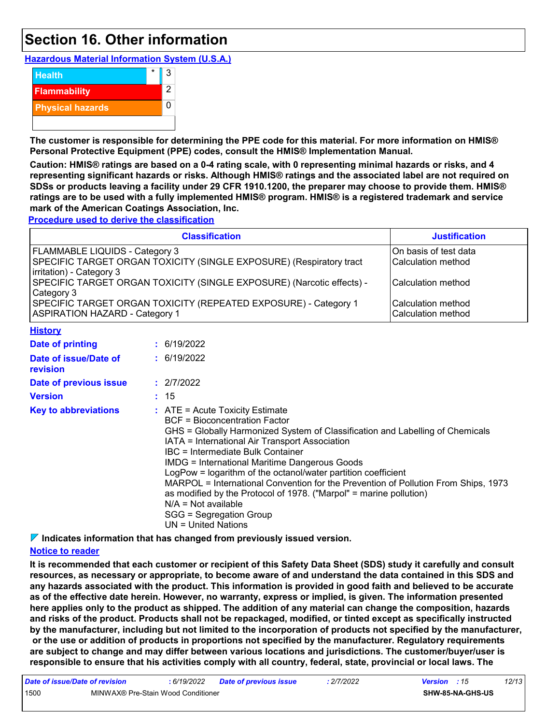### **Section 16. Other information**

**Hazardous Material Information System (U.S.A.)**



**The customer is responsible for determining the PPE code for this material. For more information on HMIS® Personal Protective Equipment (PPE) codes, consult the HMIS® Implementation Manual.**

**Caution: HMIS® ratings are based on a 0-4 rating scale, with 0 representing minimal hazards or risks, and 4 representing significant hazards or risks. Although HMIS® ratings and the associated label are not required on SDSs or products leaving a facility under 29 CFR 1910.1200, the preparer may choose to provide them. HMIS® ratings are to be used with a fully implemented HMIS® program. HMIS® is a registered trademark and service mark of the American Coatings Association, Inc.**

**Procedure used to derive the classification**

|                                                                                                          | <b>Classification</b>                                                                                                                                                                                                                                                                                                                                                                                                                                                                                                                                                                                             | <b>Justification</b>                        |
|----------------------------------------------------------------------------------------------------------|-------------------------------------------------------------------------------------------------------------------------------------------------------------------------------------------------------------------------------------------------------------------------------------------------------------------------------------------------------------------------------------------------------------------------------------------------------------------------------------------------------------------------------------------------------------------------------------------------------------------|---------------------------------------------|
| FLAMMABLE LIQUIDS - Category 3<br>irritation) - Category 3                                               | SPECIFIC TARGET ORGAN TOXICITY (SINGLE EXPOSURE) (Respiratory tract                                                                                                                                                                                                                                                                                                                                                                                                                                                                                                                                               | On basis of test data<br>Calculation method |
| SPECIFIC TARGET ORGAN TOXICITY (SINGLE EXPOSURE) (Narcotic effects) -<br>Category 3                      | Calculation method                                                                                                                                                                                                                                                                                                                                                                                                                                                                                                                                                                                                |                                             |
| SPECIFIC TARGET ORGAN TOXICITY (REPEATED EXPOSURE) - Category 1<br><b>ASPIRATION HAZARD - Category 1</b> | Calculation method<br>Calculation method                                                                                                                                                                                                                                                                                                                                                                                                                                                                                                                                                                          |                                             |
| <b>History</b>                                                                                           |                                                                                                                                                                                                                                                                                                                                                                                                                                                                                                                                                                                                                   |                                             |
| <b>Date of printing</b>                                                                                  | : 6/19/2022                                                                                                                                                                                                                                                                                                                                                                                                                                                                                                                                                                                                       |                                             |
| Date of issue/Date of<br>revision                                                                        | : 6/19/2022                                                                                                                                                                                                                                                                                                                                                                                                                                                                                                                                                                                                       |                                             |
| Date of previous issue                                                                                   | : 2/7/2022                                                                                                                                                                                                                                                                                                                                                                                                                                                                                                                                                                                                        |                                             |
| <b>Version</b>                                                                                           | : 15                                                                                                                                                                                                                                                                                                                                                                                                                                                                                                                                                                                                              |                                             |
| <b>Key to abbreviations</b>                                                                              | $:$ ATE = Acute Toxicity Estimate<br><b>BCF</b> = Bioconcentration Factor<br>GHS = Globally Harmonized System of Classification and Labelling of Chemicals<br>IATA = International Air Transport Association<br>IBC = Intermediate Bulk Container<br><b>IMDG = International Maritime Dangerous Goods</b><br>LogPow = logarithm of the octanol/water partition coefficient<br>MARPOL = International Convention for the Prevention of Pollution From Ships, 1973<br>as modified by the Protocol of 1978. ("Marpol" = marine pollution)<br>$N/A = Not available$<br>SGG = Segregation Group<br>UN = United Nations |                                             |

**Indicates information that has changed from previously issued version.**

#### **Notice to reader**

**It is recommended that each customer or recipient of this Safety Data Sheet (SDS) study it carefully and consult resources, as necessary or appropriate, to become aware of and understand the data contained in this SDS and any hazards associated with the product. This information is provided in good faith and believed to be accurate as of the effective date herein. However, no warranty, express or implied, is given. The information presented here applies only to the product as shipped. The addition of any material can change the composition, hazards and risks of the product. Products shall not be repackaged, modified, or tinted except as specifically instructed by the manufacturer, including but not limited to the incorporation of products not specified by the manufacturer, or the use or addition of products in proportions not specified by the manufacturer. Regulatory requirements are subject to change and may differ between various locations and jurisdictions. The customer/buyer/user is responsible to ensure that his activities comply with all country, federal, state, provincial or local laws. The** 

| Date of issue/Date of revision |                                    | : 6/19/2022 | <b>Date of previous issue</b> | : 2/7/2022 | <b>Version</b> : 15     | 12/13 |
|--------------------------------|------------------------------------|-------------|-------------------------------|------------|-------------------------|-------|
| 1500                           | MINWAX® Pre-Stain Wood Conditioner |             |                               |            | <b>SHW-85-NA-GHS-US</b> |       |